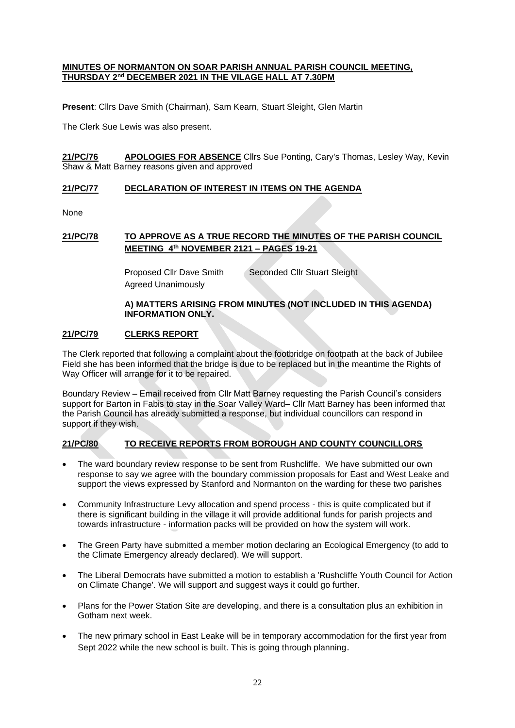#### **MINUTES OF NORMANTON ON SOAR PARISH ANNUAL PARISH COUNCIL MEETING, THURSDAY 2nd DECEMBER 2021 IN THE VILAGE HALL AT 7.30PM**

**Present**: Cllrs Dave Smith (Chairman), Sam Kearn, Stuart Sleight, Glen Martin

The Clerk Sue Lewis was also present.

**21/PC/76 APOLOGIES FOR ABSENCE** Cllrs Sue Ponting, Cary's Thomas, Lesley Way, Kevin Shaw & Matt Barney reasons given and approved

#### **21/PC/77 DECLARATION OF INTEREST IN ITEMS ON THE AGENDA**

None

# **21/PC/78 TO APPROVE AS A TRUE RECORD THE MINUTES OF THE PARISH COUNCIL MEETING 4th NOVEMBER 2121 – PAGES 19-21**

Proposed Cllr Dave Smith Seconded Cllr Stuart Sleight Agreed Unanimously

### **A) MATTERS ARISING FROM MINUTES (NOT INCLUDED IN THIS AGENDA) INFORMATION ONLY.**

# **21/PC/79 CLERKS REPORT**

The Clerk reported that following a complaint about the footbridge on footpath at the back of Jubilee Field she has been informed that the bridge is due to be replaced but in the meantime the Rights of Way Officer will arrange for it to be repaired.

Boundary Review – Email received from Cllr Matt Barney requesting the Parish Council's considers support for Barton in Fabis to stay in the Soar Valley Ward– Cllr Matt Barney has been informed that the Parish Council has already submitted a response, but individual councillors can respond in support if they wish.

# **21/PC/80 TO RECEIVE REPORTS FROM BOROUGH AND COUNTY COUNCILLORS**

- The ward boundary review response to be sent from Rushcliffe. We have submitted our own response to say we agree with the boundary commission proposals for East and West Leake and support the views expressed by Stanford and Normanton on the warding for these two parishes
- Community Infrastructure Levy allocation and spend process this is quite complicated but if there is significant building in the village it will provide additional funds for parish projects and towards infrastructure - information packs will be provided on how the system will work.
- The Green Party have submitted a member motion declaring an Ecological Emergency (to add to the Climate Emergency already declared). We will support.
- The Liberal Democrats have submitted a motion to establish a 'Rushcliffe Youth Council for Action on Climate Change'. We will support and suggest ways it could go further.
- Plans for the Power Station Site are developing, and there is a consultation plus an exhibition in Gotham next week.
- The new primary school in East Leake will be in temporary accommodation for the first year from Sept 2022 while the new school is built. This is going through planning.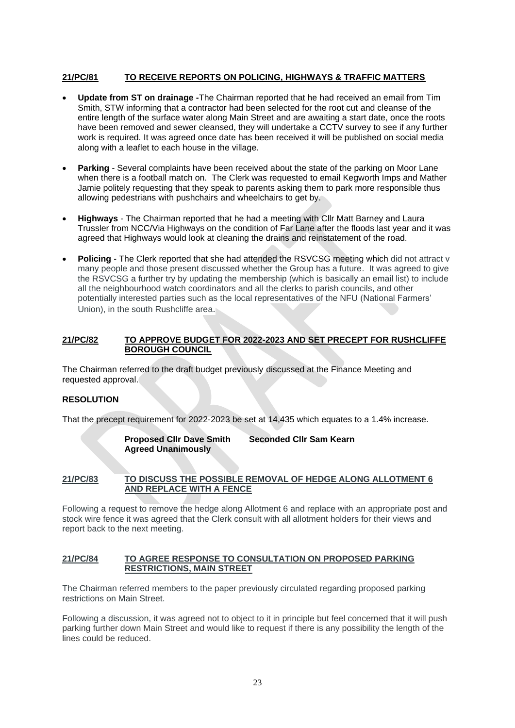# **21/PC/81 TO RECEIVE REPORTS ON POLICING, HIGHWAYS & TRAFFIC MATTERS**

- **Update from ST on drainage -**The Chairman reported that he had received an email from Tim Smith, STW informing that a contractor had been selected for the root cut and cleanse of the entire length of the surface water along Main Street and are awaiting a start date, once the roots have been removed and sewer cleansed, they will undertake a CCTV survey to see if any further work is required. It was agreed once date has been received it will be published on social media along with a leaflet to each house in the village.
- **Parking**  Several complaints have been received about the state of the parking on Moor Lane when there is a football match on. The Clerk was requested to email Kegworth Imps and Mather Jamie politely requesting that they speak to parents asking them to park more responsible thus allowing pedestrians with pushchairs and wheelchairs to get by.
- **Highways** The Chairman reported that he had a meeting with Cllr Matt Barney and Laura Trussler from NCC/Via Highways on the condition of Far Lane after the floods last year and it was agreed that Highways would look at cleaning the drains and reinstatement of the road.
- **Policing** The Clerk reported that she had attended the RSVCSG meeting which did not attract v many people and those present discussed whether the Group has a future. It was agreed to give the RSVCSG a further try by updating the membership (which is basically an email list) to include all the neighbourhood watch coordinators and all the clerks to parish councils, and other potentially interested parties such as the local representatives of the NFU (National Farmers' Union), in the south Rushcliffe area.

### **21/PC/82 TO APPROVE BUDGET FOR 2022-2023 AND SET PRECEPT FOR RUSHCLIFFE BOROUGH COUNCIL**

The Chairman referred to the draft budget previously discussed at the Finance Meeting and requested approval.

# **RESOLUTION**

That the precept requirement for 2022-2023 be set at 14,435 which equates to a 1.4% increase.

**Proposed Cllr Dave Smith Seconded Cllr Sam Kearn Agreed Unanimously**

# **21/PC/83 TO DISCUSS THE POSSIBLE REMOVAL OF HEDGE ALONG ALLOTMENT 6 AND REPLACE WITH A FENCE**

Following a request to remove the hedge along Allotment 6 and replace with an appropriate post and stock wire fence it was agreed that the Clerk consult with all allotment holders for their views and report back to the next meeting.

#### **21/PC/84 TO AGREE RESPONSE TO CONSULTATION ON PROPOSED PARKING RESTRICTIONS, MAIN STREET**

The Chairman referred members to the paper previously circulated regarding proposed parking restrictions on Main Street.

Following a discussion, it was agreed not to object to it in principle but feel concerned that it will push parking further down Main Street and would like to request if there is any possibility the length of the lines could be reduced.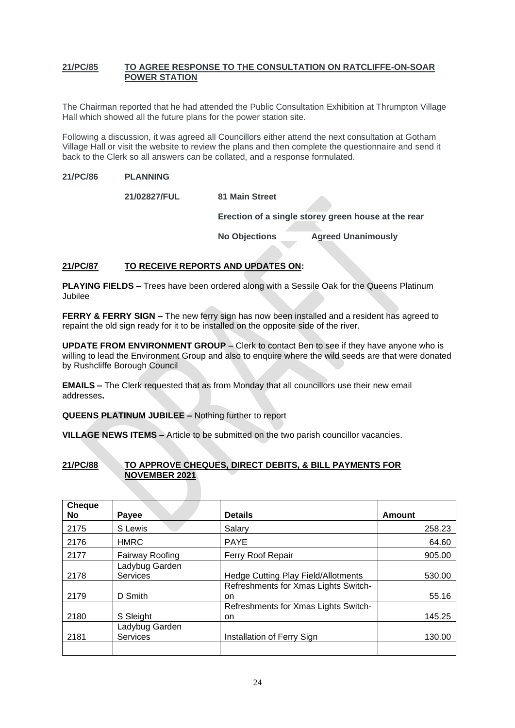### **21/PC/85 TO AGREE RESPONSE TO THE CONSULTATION ON RATCLIFFE-ON-SOAR POWER STATION**

The Chairman reported that he had attended the Public Consultation Exhibition at Thrumpton Village Hall which showed all the future plans for the power station site.

Following a discussion, it was agreed all Councillors either attend the next consultation at Gotham Village Hall or visit the website to review the plans and then complete the questionnaire and send it back to the Clerk so all answers can be collated, and a response formulated.

### **21/PC/86 PLANNING**

**21/02827/FUL 81 Main Street**

**Erection of a single storey green house at the rear**

**No Objections Agreed Unanimously**

# **21/PC/87 TO RECEIVE REPORTS AND UPDATES ON:**

**PLAYING FIELDS –** Trees have been ordered along with a Sessile Oak for the Queens Platinum Jubilee

**FERRY & FERRY SIGN –** The new ferry sign has now been installed and a resident has agreed to repaint the old sign ready for it to be installed on the opposite side of the river.

**UPDATE FROM ENVIRONMENT GROUP** – Clerk to contact Ben to see if they have anyone who is willing to lead the Environment Group and also to enquire where the wild seeds are that were donated by Rushcliffe Borough Council

**EMAILS –** The Clerk requested that as from Monday that all councillors use their new email addresses**.**

**QUEENS PLATINUM JUBILEE –** Nothing further to report

**VILLAGE NEWS ITEMS –** Article to be submitted on the two parish councillor vacancies.

# **21/PC/88 TO APPROVE CHEQUES, DIRECT DEBITS, & BILL PAYMENTS FOR NOVEMBER 2021**

| <b>Cheque</b><br><b>No</b> | Payee           | <b>Details</b>                             | Amount |
|----------------------------|-----------------|--------------------------------------------|--------|
|                            |                 |                                            |        |
| 2175                       | S Lewis         | Salary                                     | 258.23 |
| 2176                       | <b>HMRC</b>     | <b>PAYE</b>                                | 64.60  |
| 2177                       | Fairway Roofing | Ferry Roof Repair                          | 905.00 |
|                            | Ladybug Garden  |                                            |        |
| 2178                       | <b>Services</b> | <b>Hedge Cutting Play Field/Allotments</b> | 530.00 |
|                            |                 | Refreshments for Xmas Lights Switch-       |        |
| 2179                       | D Smith         | on                                         | 55.16  |
|                            |                 | Refreshments for Xmas Lights Switch-       |        |
| 2180                       | S Sleight       | on                                         | 145.25 |
|                            | Ladybug Garden  |                                            |        |
| 2181                       | <b>Services</b> | Installation of Ferry Sign                 | 130.00 |
|                            |                 |                                            |        |